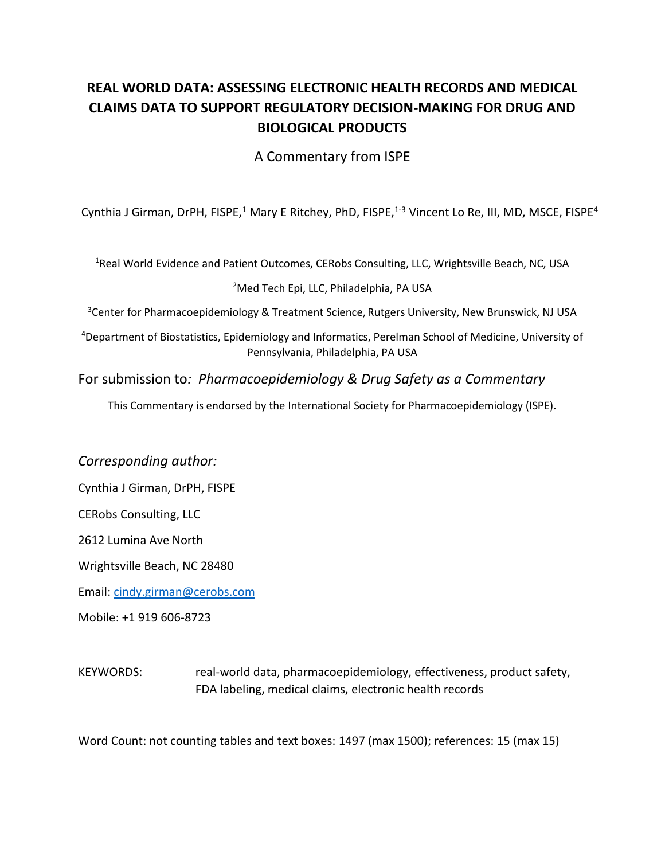# **REAL WORLD DATA: ASSESSING ELECTRONIC HEALTH RECORDS AND MEDICAL CLAIMS DATA TO SUPPORT REGULATORY DECISION-MAKING FOR DRUG AND BIOLOGICAL PRODUCTS**

A Commentary from ISPE

Cynthia J Girman, DrPH, FISPE,<sup>1</sup> Mary E Ritchey, PhD, FISPE,<sup>1-3</sup> Vincent Lo Re, III, MD, MSCE, FISPE<sup>4</sup>

<sup>1</sup>Real World Evidence and Patient Outcomes, CERobs Consulting, LLC, Wrightsville Beach, NC, USA

<sup>2</sup>Med Tech Epi, LLC, Philadelphia, PA USA

<sup>3</sup>Center for Pharmacoepidemiology & Treatment Science, Rutgers University, New Brunswick, NJ USA

<sup>4</sup>Department of Biostatistics, Epidemiology and Informatics, Perelman School of Medicine, University of Pennsylvania, Philadelphia, PA USA

#### For submission to*: Pharmacoepidemiology & Drug Safety as a Commentary*

This Commentary is endorsed by the International Society for Pharmacoepidemiology (ISPE).

#### *Corresponding author:*

Cynthia J Girman, DrPH, FISPE

CERobs Consulting, LLC

2612 Lumina Ave North

Wrightsville Beach, NC 28480

Email: [cindy.girman@cerobs.com](mailto:cindy.girman@cerobs.com)

Mobile: +1 919 606-8723

KEYWORDS: real-world data, pharmacoepidemiology, effectiveness, product safety, FDA labeling, medical claims, electronic health records

Word Count: not counting tables and text boxes: 1497 (max 1500); references: 15 (max 15)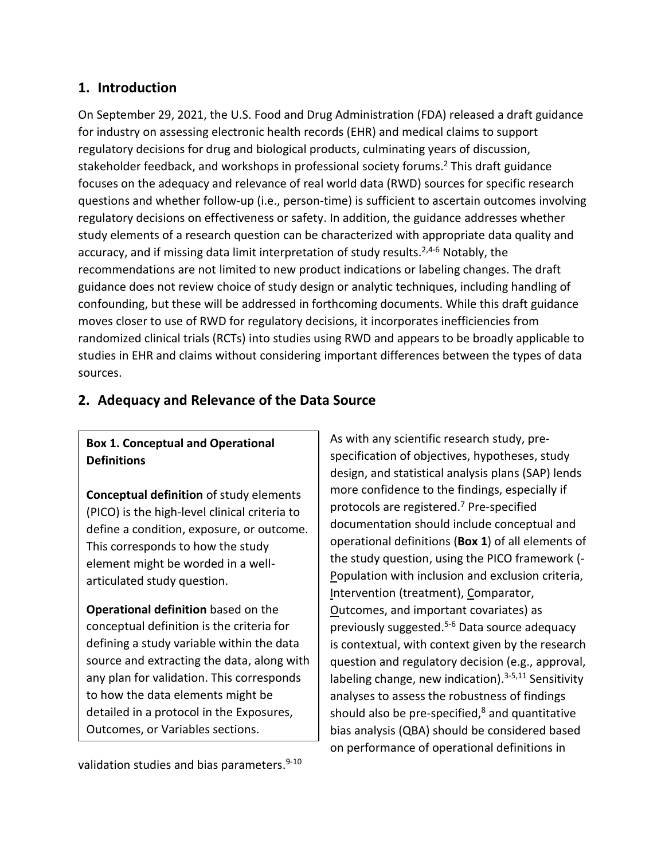### **1. Introduction**

On September 29, 2021, the U.S. Food and Drug Administration (FDA) released a draft guidance for industry on assessing electronic health records (EHR) and medical claims to support regulatory decisions for drug and biological products, culminating years of discussion, stakeholder feedback, and workshops in professional society forums.<sup>2</sup> This draft guidance focuses on the adequacy and relevance of real world data (RWD) sources for specific research questions and whether follow-up (i.e., person-time) is sufficient to ascertain outcomes involving regulatory decisions on effectiveness or safety. In addition, the guidance addresses whether study elements of a research question can be characterized with appropriate data quality and accuracy, and if missing data limit interpretation of study results.<sup>2,4-6</sup> Notably, the recommendations are not limited to new product indications or labeling changes. The draft guidance does not review choice of study design or analytic techniques, including handling of confounding, but these will be addressed in forthcoming documents. While this draft guidance moves closer to use of RWD for regulatory decisions, it incorporates inefficiencies from randomized clinical trials (RCTs) into studies using RWD and appears to be broadly applicable to studies in EHR and claims without considering important differences between the types of data sources.

## **2. Adequacy and Relevance of the Data Source**

### **Box 1. Conceptual and Operational Definitions**

**Conceptual definition** of study elements (PICO) is the high-level clinical criteria to define a condition, exposure, or outcome. This corresponds to how the study element might be worded in a wellarticulated study question.

**Operational definition** based on the conceptual definition is the criteria for defining a study variable within the data source and extracting the data, along with any plan for validation. This corresponds to how the data elements might be detailed in a protocol in the Exposures, Outcomes, or Variables sections.

As with any scientific research study, prespecification of objectives, hypotheses, study design, and statistical analysis plans (SAP) lends more confidence to the findings, especially if protocols are registered.<sup>7</sup> Pre-specified documentation should include conceptual and operational definitions (**Box 1**) of all elements of the study question, using the PICO framework (- Population with inclusion and exclusion criteria, Intervention (treatment), Comparator, Outcomes, and important covariates) as previously suggested. 5-6 Data source adequacy is contextual, with context given by the research question and regulatory decision (e.g., approval, labeling change, new indication).<sup>3-5,11</sup> Sensitivity analyses to assess the robustness of findings should also be pre-specified, $8$  and quantitative bias analysis (QBA) should be considered based on performance of operational definitions in

validation studies and bias parameters.<sup>9-10</sup>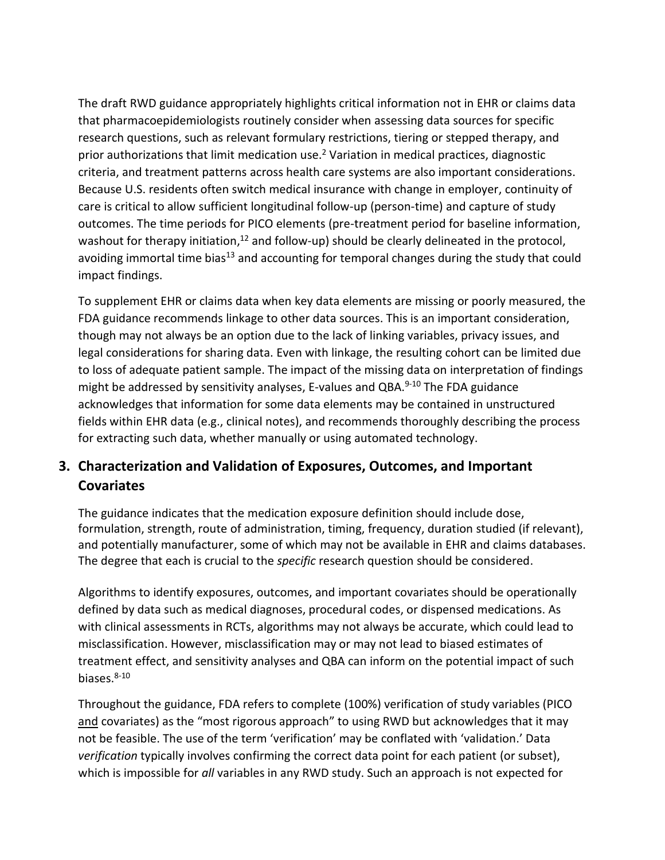The draft RWD guidance appropriately highlights critical information not in EHR or claims data that pharmacoepidemiologists routinely consider when assessing data sources for specific research questions, such as relevant formulary restrictions, tiering or stepped therapy, and prior authorizations that limit medication use.<sup>2</sup> Variation in medical practices, diagnostic criteria, and treatment patterns across health care systems are also important considerations. Because U.S. residents often switch medical insurance with change in employer, continuity of care is critical to allow sufficient longitudinal follow-up (person-time) and capture of study outcomes. The time periods for PICO elements (pre-treatment period for baseline information, washout for therapy initiation,<sup>12</sup> and follow-up) should be clearly delineated in the protocol, avoiding immortal time bias<sup>13</sup> and accounting for temporal changes during the study that could impact findings.

To supplement EHR or claims data when key data elements are missing or poorly measured, the FDA guidance recommends linkage to other data sources. This is an important consideration, though may not always be an option due to the lack of linking variables, privacy issues, and legal considerations for sharing data. Even with linkage, the resulting cohort can be limited due to loss of adequate patient sample. The impact of the missing data on interpretation of findings might be addressed by sensitivity analyses, E-values and QBA.<sup>9-10</sup> The FDA guidance acknowledges that information for some data elements may be contained in unstructured fields within EHR data (e.g., clinical notes), and recommends thoroughly describing the process for extracting such data, whether manually or using automated technology.

# **3. Characterization and Validation of Exposures, Outcomes, and Important Covariates**

The guidance indicates that the medication exposure definition should include dose, formulation, strength, route of administration, timing, frequency, duration studied (if relevant), and potentially manufacturer, some of which may not be available in EHR and claims databases. The degree that each is crucial to the *specific* research question should be considered.

Algorithms to identify exposures, outcomes, and important covariates should be operationally defined by data such as medical diagnoses, procedural codes, or dispensed medications. As with clinical assessments in RCTs, algorithms may not always be accurate, which could lead to misclassification. However, misclassification may or may not lead to biased estimates of treatment effect, and sensitivity analyses and QBA can inform on the potential impact of such biases. $8-10$ 

Throughout the guidance, FDA refers to complete (100%) verification of study variables (PICO and covariates) as the "most rigorous approach" to using RWD but acknowledges that it may not be feasible. The use of the term 'verification' may be conflated with 'validation.' Data *verification* typically involves confirming the correct data point for each patient (or subset), which is impossible for *all* variables in any RWD study. Such an approach is not expected for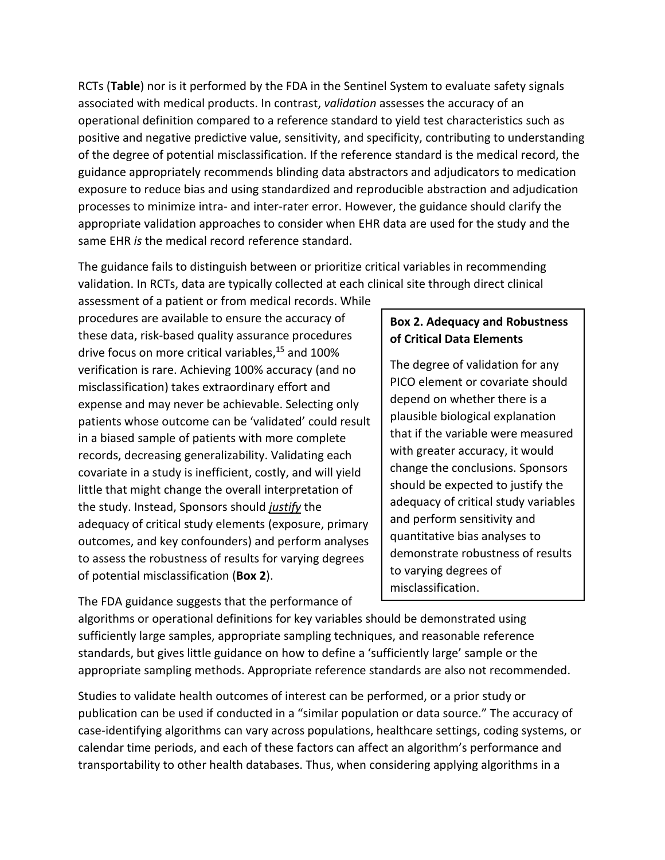RCTs (**Table**) nor is it performed by the FDA in the Sentinel System to evaluate safety signals associated with medical products. In contrast, *validation* assesses the accuracy of an operational definition compared to a reference standard to yield test characteristics such as positive and negative predictive value, sensitivity, and specificity, contributing to understanding of the degree of potential misclassification. If the reference standard is the medical record, the guidance appropriately recommends blinding data abstractors and adjudicators to medication exposure to reduce bias and using standardized and reproducible abstraction and adjudication processes to minimize intra- and inter-rater error. However, the guidance should clarify the appropriate validation approaches to consider when EHR data are used for the study and the same EHR *is* the medical record reference standard.

The guidance fails to distinguish between or prioritize critical variables in recommending validation. In RCTs, data are typically collected at each clinical site through direct clinical

assessment of a patient or from medical records. While procedures are available to ensure the accuracy of these data, risk-based quality assurance procedures drive focus on more critical variables, <sup>15</sup> and 100% verification is rare. Achieving 100% accuracy (and no misclassification) takes extraordinary effort and expense and may never be achievable. Selecting only patients whose outcome can be 'validated' could result in a biased sample of patients with more complete records, decreasing generalizability. Validating each covariate in a study is inefficient, costly, and will yield little that might change the overall interpretation of the study. Instead, Sponsors should *justify* the adequacy of critical study elements (exposure, primary outcomes, and key confounders) and perform analyses to assess the robustness of results for varying degrees of potential misclassification (**Box 2**).

The FDA guidance suggests that the performance of

### **Box 2. Adequacy and Robustness of Critical Data Elements**

The degree of validation for any PICO element or covariate should depend on whether there is a plausible biological explanation that if the variable were measured with greater accuracy, it would change the conclusions. Sponsors should be expected to justify the adequacy of critical study variables and perform sensitivity and quantitative bias analyses to demonstrate robustness of results to varying degrees of misclassification.

algorithms or operational definitions for key variables should be demonstrated using sufficiently large samples, appropriate sampling techniques, and reasonable reference standards, but gives little guidance on how to define a 'sufficiently large' sample or the appropriate sampling methods. Appropriate reference standards are also not recommended.

Studies to validate health outcomes of interest can be performed, or a prior study or publication can be used if conducted in a "similar population or data source." The accuracy of case-identifying algorithms can vary across populations, healthcare settings, coding systems, or calendar time periods, and each of these factors can affect an algorithm's performance and transportability to other health databases. Thus, when considering applying algorithms in a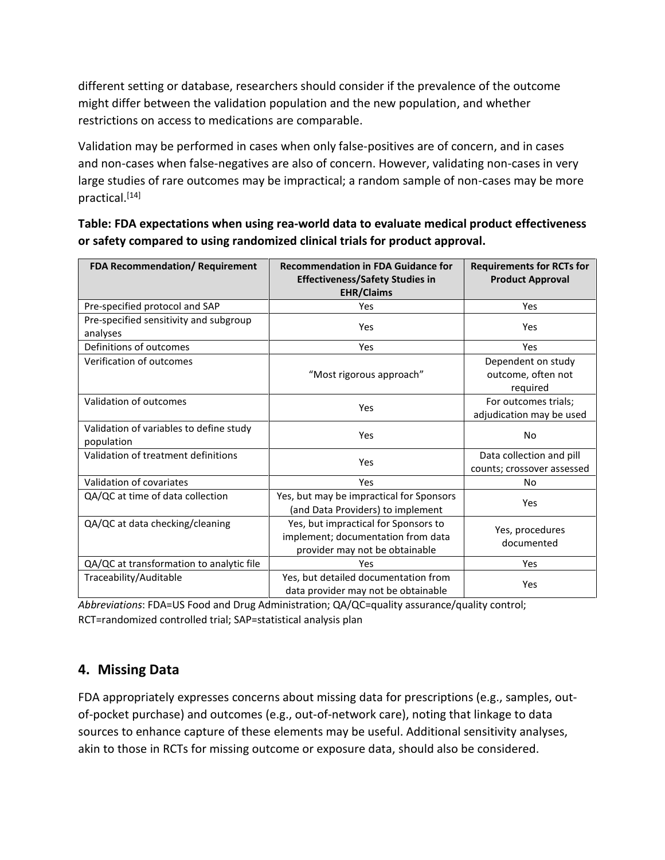different setting or database, researchers should consider if the prevalence of the outcome might differ between the validation population and the new population, and whether restrictions on access to medications are comparable.

Validation may be performed in cases when only false-positives are of concern, and in cases and non-cases when false-negatives are also of concern. However, validating non-cases in very large studies of rare outcomes may be impractical; a random sample of non-cases may be more practical.<sup>[14]</sup>

| <b>FDA Recommendation/ Requirement</b>                | <b>Recommendation in FDA Guidance for</b>                                                                    | <b>Requirements for RCTs for</b>                       |
|-------------------------------------------------------|--------------------------------------------------------------------------------------------------------------|--------------------------------------------------------|
|                                                       | <b>Effectiveness/Safety Studies in</b><br><b>EHR/Claims</b>                                                  | <b>Product Approval</b>                                |
| Pre-specified protocol and SAP                        | Yes                                                                                                          | Yes                                                    |
| Pre-specified sensitivity and subgroup<br>analyses    | Yes                                                                                                          | Yes                                                    |
| Definitions of outcomes                               | Yes                                                                                                          | Yes                                                    |
| Verification of outcomes                              | "Most rigorous approach"                                                                                     | Dependent on study<br>outcome, often not<br>required   |
| Validation of outcomes                                | Yes                                                                                                          | For outcomes trials;<br>adjudication may be used       |
| Validation of variables to define study<br>population | Yes                                                                                                          | <b>No</b>                                              |
| Validation of treatment definitions                   | Yes                                                                                                          | Data collection and pill<br>counts; crossover assessed |
| Validation of covariates                              | Yes                                                                                                          | No                                                     |
| QA/QC at time of data collection                      | Yes, but may be impractical for Sponsors<br>(and Data Providers) to implement                                | Yes                                                    |
| QA/QC at data checking/cleaning                       | Yes, but impractical for Sponsors to<br>implement; documentation from data<br>provider may not be obtainable | Yes, procedures<br>documented                          |
| QA/QC at transformation to analytic file              | Yes                                                                                                          | Yes                                                    |
| Traceability/Auditable                                | Yes, but detailed documentation from<br>data provider may not be obtainable                                  | Yes                                                    |

**Table: FDA expectations when using rea-world data to evaluate medical product effectiveness or safety compared to using randomized clinical trials for product approval.**

*Abbreviations*: FDA=US Food and Drug Administration; QA/QC=quality assurance/quality control; RCT=randomized controlled trial; SAP=statistical analysis plan

## **4. Missing Data**

FDA appropriately expresses concerns about missing data for prescriptions (e.g., samples, outof-pocket purchase) and outcomes (e.g., out-of-network care), noting that linkage to data sources to enhance capture of these elements may be useful. Additional sensitivity analyses, akin to those in RCTs for missing outcome or exposure data, should also be considered.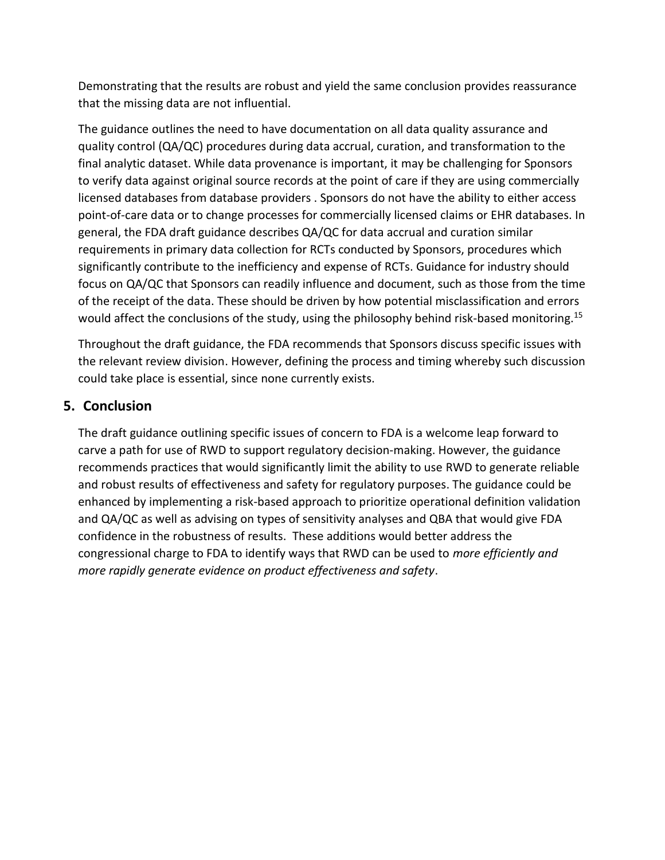Demonstrating that the results are robust and yield the same conclusion provides reassurance that the missing data are not influential.

The guidance outlines the need to have documentation on all data quality assurance and quality control (QA/QC) procedures during data accrual, curation, and transformation to the final analytic dataset. While data provenance is important, it may be challenging for Sponsors to verify data against original source records at the point of care if they are using commercially licensed databases from database providers . Sponsors do not have the ability to either access point-of-care data or to change processes for commercially licensed claims or EHR databases. In general, the FDA draft guidance describes QA/QC for data accrual and curation similar requirements in primary data collection for RCTs conducted by Sponsors, procedures which significantly contribute to the inefficiency and expense of RCTs. Guidance for industry should focus on QA/QC that Sponsors can readily influence and document, such as those from the time of the receipt of the data. These should be driven by how potential misclassification and errors would affect the conclusions of the study, using the philosophy behind risk-based monitoring.<sup>15</sup>

Throughout the draft guidance, the FDA recommends that Sponsors discuss specific issues with the relevant review division. However, defining the process and timing whereby such discussion could take place is essential, since none currently exists.

### **5. Conclusion**

The draft guidance outlining specific issues of concern to FDA is a welcome leap forward to carve a path for use of RWD to support regulatory decision-making. However, the guidance recommends practices that would significantly limit the ability to use RWD to generate reliable and robust results of effectiveness and safety for regulatory purposes. The guidance could be enhanced by implementing a risk-based approach to prioritize operational definition validation and QA/QC as well as advising on types of sensitivity analyses and QBA that would give FDA confidence in the robustness of results. These additions would better address the congressional charge to FDA to identify ways that RWD can be used to *more efficiently and more rapidly generate evidence on product effectiveness and safety*.